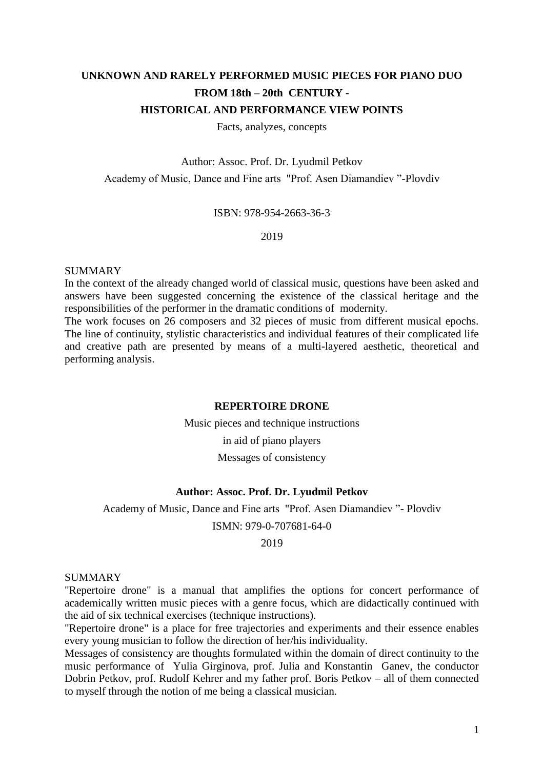# **UNKNOWN AND RARELY PERFORMED MUSIC PIECES FOR PIANO DUO FROM 18th – 20th CENTURY - HISTORICAL AND PERFORMANCE VIEW POINTS**

Facts, analyzes, concepts

Author: Assoc. Prof. Dr. Lyudmil Petkov Academy of Music, Dance and Fine arts "Prof. Asen Diamandiev "-Plovdiv

ISBN: 978-954-2663-36-3

2019

#### SUMMARY

In the context of the already changed world of classical music, questions have been asked and answers have been suggested concerning the existence of the classical heritage and the responsibilities of the performer in the dramatic conditions of modernity.

The work focuses on 26 composers and 32 pieces of music from different musical epochs. The line of continuity, stylistic characteristics and individual features of their complicated life and creative path are presented by means of a multi-layered aesthetic, theoretical and performing analysis.

#### **REPERTOIRE DRONE**

Music pieces and technique instructions

in aid of piano players

Messages of consistency

#### **Author: Assoc. Prof. Dr. Lyudmil Petkov**

Academy of Music, Dance and Fine arts "Prof. Asen Diamandiev "- Plovdiv

ISMN: 979-0-707681-64-0

2019

### **SUMMARY**

"Repertoire drone" is a manual that amplifies the options for concert performance of academically written music pieces with a genre focus, which are didactically continued with the aid of six technical exercises (technique instructions).

"Repertoire drone" is a place for free trajectories and experiments and their essence enables every young musician to follow the direction of her/his individuality.

Messages of consistency are thoughts formulated within the domain of direct continuity to the music performance of Yulia Girginova, prof. Julia and Konstantin Ganev, the conductor Dobrin Petkov, prof. Rudolf Kehrer and my father prof. Boris Petkov – all of them connected to myself through the notion of me being a classical musician.